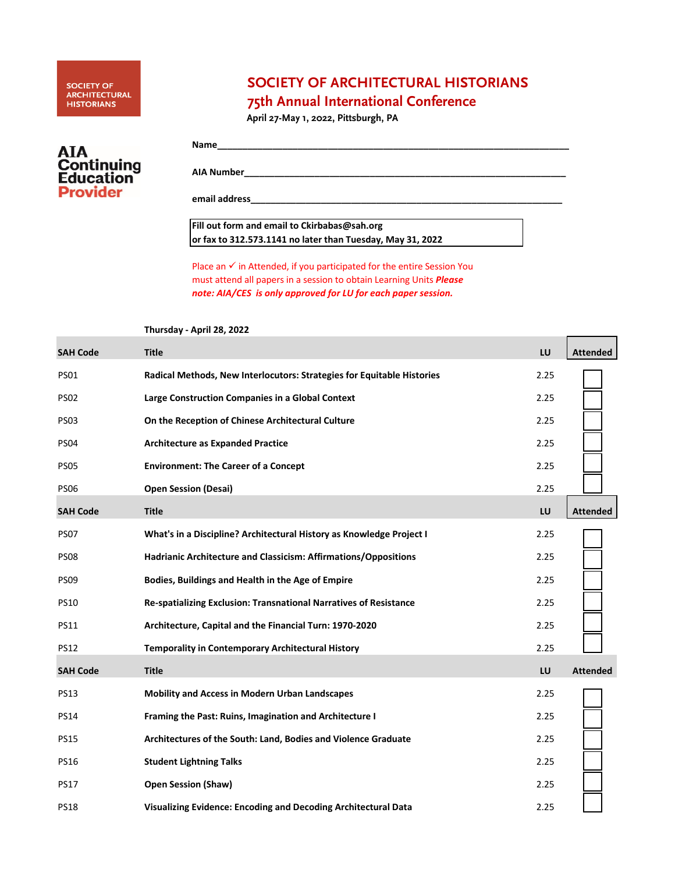# SOCIETY OF<br>ARCHITECTURAL<br>HISTORIANS

## **SOCIETY OF ARCHITECTURAL HISTORIANS**

# **75th Annual International Conference**

**April 27-May 1, 2022, Pittsburgh, PA**

| AIA<br><b>Continuing</b><br><b>Education</b> |
|----------------------------------------------|
| <b>Provider</b>                              |
|                                              |

| Name              |  |
|-------------------|--|
| <b>AIA Number</b> |  |
| email address_    |  |

 $\sqrt{2\pi}$ 

### **Fill out form and email to Ckirbabas@sah.org or fax to 312.573.1141 no later than Tuesday, May 31, 2022**

Place an  $\checkmark$  in Attended, if you participated for the entire Session You must attend all papers in a session to obtain Learning Units *Please note: AIA/CES is only approved for LU for each paper session.*

#### **Thursday - April 28, 2022**

| <b>SAH Code</b> | <b>Title</b>                                                           | LU   | <b>Attended</b> |
|-----------------|------------------------------------------------------------------------|------|-----------------|
| <b>PS01</b>     | Radical Methods, New Interlocutors: Strategies for Equitable Histories | 2.25 |                 |
| <b>PS02</b>     | Large Construction Companies in a Global Context                       | 2.25 |                 |
| <b>PS03</b>     | On the Reception of Chinese Architectural Culture                      | 2.25 |                 |
| <b>PS04</b>     | <b>Architecture as Expanded Practice</b>                               | 2.25 |                 |
| <b>PS05</b>     | <b>Environment: The Career of a Concept</b>                            | 2.25 |                 |
| <b>PS06</b>     | <b>Open Session (Desai)</b>                                            | 2.25 |                 |
| <b>SAH Code</b> | <b>Title</b>                                                           | LU   | <b>Attended</b> |
| <b>PS07</b>     | What's in a Discipline? Architectural History as Knowledge Project I   | 2.25 |                 |
| <b>PS08</b>     | Hadrianic Architecture and Classicism: Affirmations/Oppositions        | 2.25 |                 |
| <b>PS09</b>     | Bodies, Buildings and Health in the Age of Empire                      | 2.25 |                 |
| <b>PS10</b>     | Re-spatializing Exclusion: Transnational Narratives of Resistance      | 2.25 |                 |
| <b>PS11</b>     | Architecture, Capital and the Financial Turn: 1970-2020                | 2.25 |                 |
| <b>PS12</b>     | <b>Temporality in Contemporary Architectural History</b>               | 2.25 |                 |
| <b>SAH Code</b> | <b>Title</b>                                                           | LU   | <b>Attended</b> |
| <b>PS13</b>     | <b>Mobility and Access in Modern Urban Landscapes</b>                  | 2.25 |                 |
| <b>PS14</b>     | Framing the Past: Ruins, Imagination and Architecture I                | 2.25 |                 |
| <b>PS15</b>     | Architectures of the South: Land, Bodies and Violence Graduate         | 2.25 |                 |
| <b>PS16</b>     | <b>Student Lightning Talks</b>                                         | 2.25 |                 |
| <b>PS17</b>     | <b>Open Session (Shaw)</b>                                             | 2.25 |                 |
| <b>PS18</b>     | Visualizing Evidence: Encoding and Decoding Architectural Data         | 2.25 |                 |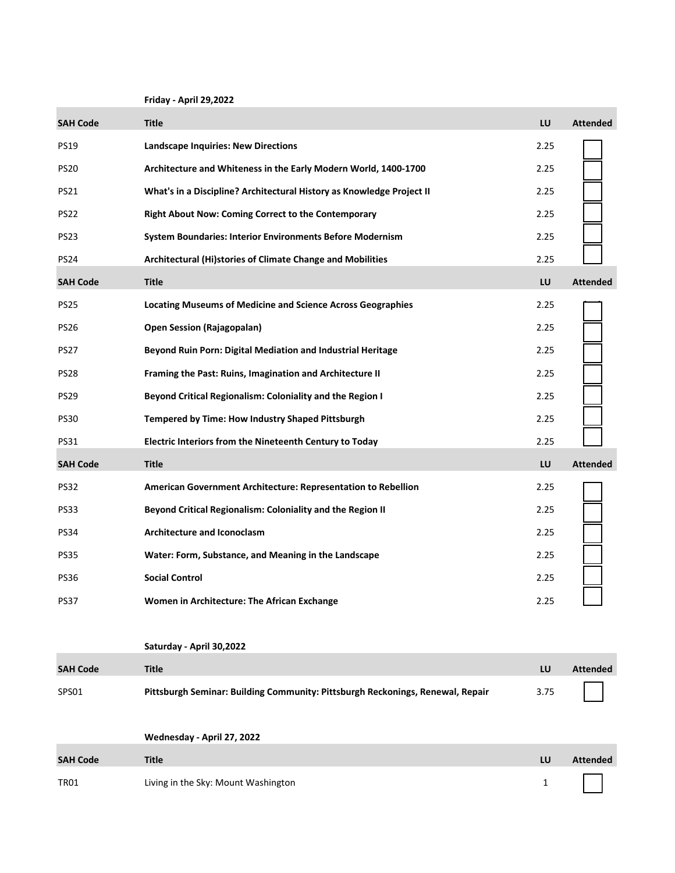**Friday - April 29,2022**

| <b>SAH Code</b> | <b>Title</b>                                                                   | LU           | <b>Attended</b> |
|-----------------|--------------------------------------------------------------------------------|--------------|-----------------|
| <b>PS19</b>     | <b>Landscape Inquiries: New Directions</b>                                     | 2.25         |                 |
| <b>PS20</b>     | Architecture and Whiteness in the Early Modern World, 1400-1700                | 2.25         |                 |
| <b>PS21</b>     | What's in a Discipline? Architectural History as Knowledge Project II          | 2.25         |                 |
| <b>PS22</b>     | Right About Now: Coming Correct to the Contemporary                            | 2.25         |                 |
| PS23            | System Boundaries: Interior Environments Before Modernism                      | 2.25         |                 |
| <b>PS24</b>     | Architectural (Hi)stories of Climate Change and Mobilities                     | 2.25         |                 |
| <b>SAH Code</b> | <b>Title</b>                                                                   | LU           | <b>Attended</b> |
| <b>PS25</b>     | <b>Locating Museums of Medicine and Science Across Geographies</b>             | 2.25         |                 |
| <b>PS26</b>     | <b>Open Session (Rajagopalan)</b>                                              | 2.25         |                 |
| PS27            | Beyond Ruin Porn: Digital Mediation and Industrial Heritage                    | 2.25         |                 |
| <b>PS28</b>     | Framing the Past: Ruins, Imagination and Architecture II                       | 2.25         |                 |
| <b>PS29</b>     | Beyond Critical Regionalism: Coloniality and the Region I                      | 2.25         |                 |
| <b>PS30</b>     | Tempered by Time: How Industry Shaped Pittsburgh                               | 2.25         |                 |
| <b>PS31</b>     | Electric Interiors from the Nineteenth Century to Today                        | 2.25         |                 |
| <b>SAH Code</b> | <b>Title</b>                                                                   | LU           | <b>Attended</b> |
| <b>PS32</b>     | American Government Architecture: Representation to Rebellion                  | 2.25         |                 |
| PS33            | Beyond Critical Regionalism: Coloniality and the Region II                     | 2.25         |                 |
| <b>PS34</b>     | <b>Architecture and Iconoclasm</b>                                             | 2.25         |                 |
| <b>PS35</b>     | Water: Form, Substance, and Meaning in the Landscape                           | 2.25         |                 |
| <b>PS36</b>     | <b>Social Control</b>                                                          | 2.25         |                 |
| <b>PS37</b>     | Women in Architecture: The African Exchange                                    | 2.25         |                 |
|                 |                                                                                |              |                 |
|                 | Saturday - April 30,2022                                                       |              |                 |
| <b>SAH Code</b> | <b>Title</b>                                                                   | LU           | <b>Attended</b> |
| SPS01           | Pittsburgh Seminar: Building Community: Pittsburgh Reckonings, Renewal, Repair | 3.75         |                 |
|                 |                                                                                |              |                 |
|                 | Wednesday - April 27, 2022                                                     |              |                 |
| <b>SAH Code</b> | <b>Title</b>                                                                   | LU           | <b>Attended</b> |
| <b>TR01</b>     | Living in the Sky: Mount Washington                                            | $\mathbf{1}$ |                 |